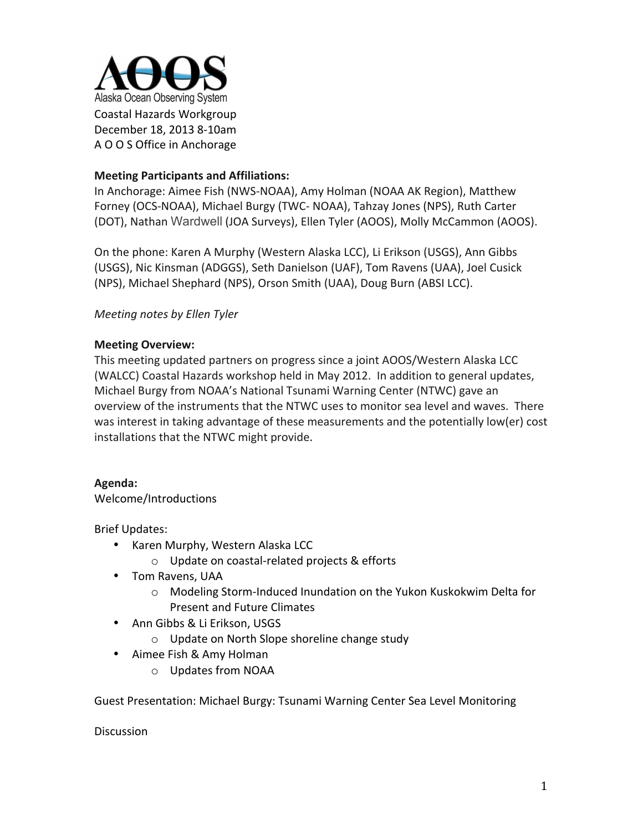

### **Meeting Participants and Affiliations:**

In Anchorage: Aimee Fish (NWS-NOAA), Amy Holman (NOAA AK Region), Matthew Forney (OCS-NOAA), Michael Burgy (TWC- NOAA), Tahzay Jones (NPS), Ruth Carter (DOT), Nathan Wardwell (JOA Surveys), Ellen Tyler (AOOS), Molly McCammon (AOOS).

On the phone: Karen A Murphy (Western Alaska LCC), Li Erikson (USGS), Ann Gibbs (USGS), Nic Kinsman (ADGGS), Seth Danielson (UAF), Tom Ravens (UAA), Joel Cusick (NPS), Michael Shephard (NPS), Orson Smith (UAA), Doug Burn (ABSI LCC).

### *Meeting notes by Ellen Tyler*

#### **Meeting Overview:**

This meeting updated partners on progress since a joint AOOS/Western Alaska LCC (WALCC) Coastal Hazards workshop held in May 2012. In addition to general updates, Michael Burgy from NOAA's National Tsunami Warning Center (NTWC) gave an overview of the instruments that the NTWC uses to monitor sea level and waves. There was interest in taking advantage of these measurements and the potentially low(er) cost installations that the NTWC might provide.

# **Agenda:**

Welcome/Introductions

Brief Updates:

- Karen Murphy, Western Alaska LCC
	- $\circ$  Update on coastal-related projects & efforts
- Tom Ravens, UAA
	- o Modeling Storm-Induced Inundation on the Yukon Kuskokwim Delta for Present and Future Climates
- Ann Gibbs & Li Erikson, USGS
	- $\circ$  Update on North Slope shoreline change study
- Aimee Fish & Amy Holman
	- o Updates from NOAA

Guest Presentation: Michael Burgy: Tsunami Warning Center Sea Level Monitoring

**Discussion**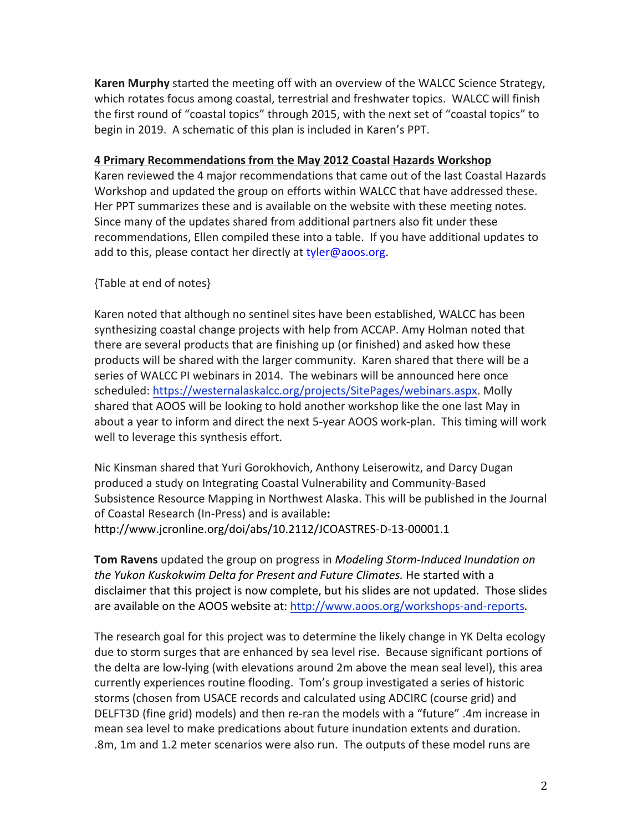**Karen Murphy** started the meeting off with an overview of the WALCC Science Strategy, which rotates focus among coastal, terrestrial and freshwater topics. WALCC will finish the first round of "coastal topics" through 2015, with the next set of "coastal topics" to begin in 2019. A schematic of this plan is included in Karen's PPT.

#### **4 Primary Recommendations from the May 2012 Coastal Hazards Workshop**

Karen reviewed the 4 major recommendations that came out of the last Coastal Hazards Workshop and updated the group on efforts within WALCC that have addressed these. Her PPT summarizes these and is available on the website with these meeting notes. Since many of the updates shared from additional partners also fit under these recommendations, Ellen compiled these into a table. If you have additional updates to add to this, please contact her directly at tyler@aoos.org.

# {Table at end of notes}

Karen noted that although no sentinel sites have been established, WALCC has been synthesizing coastal change projects with help from ACCAP. Amy Holman noted that there are several products that are finishing up (or finished) and asked how these products will be shared with the larger community. Karen shared that there will be a series of WALCC PI webinars in 2014. The webinars will be announced here once scheduled: https://westernalaskalcc.org/projects/SitePages/webinars.aspx. Molly shared that AOOS will be looking to hold another workshop like the one last May in about a year to inform and direct the next 5-year AOOS work-plan. This timing will work well to leverage this synthesis effort.

Nic Kinsman shared that Yuri Gorokhovich, Anthony Leiserowitz, and Darcy Dugan produced a study on Integrating Coastal Vulnerability and Community-Based Subsistence Resource Mapping in Northwest Alaska. This will be published in the Journal of Coastal Research (In-Press) and is available: http://www.jcronline.org/doi/abs/10.2112/JCOASTRES-D-13-00001.1

**Tom Ravens** updated the group on progress in *Modeling Storm-Induced Inundation on* the Yukon Kuskokwim Delta for Present and Future Climates. He started with a disclaimer that this project is now complete, but his slides are not updated. Those slides are available on the AOOS website at: http://www.aoos.org/workshops-and-reports.

The research goal for this project was to determine the likely change in YK Delta ecology due to storm surges that are enhanced by sea level rise. Because significant portions of the delta are low-lying (with elevations around 2m above the mean seal level), this area currently experiences routine flooding. Tom's group investigated a series of historic storms (chosen from USACE records and calculated using ADCIRC (course grid) and DELFT3D (fine grid) models) and then re-ran the models with a "future" .4m increase in mean sea level to make predications about future inundation extents and duration. .8m, 1m and 1.2 meter scenarios were also run. The outputs of these model runs are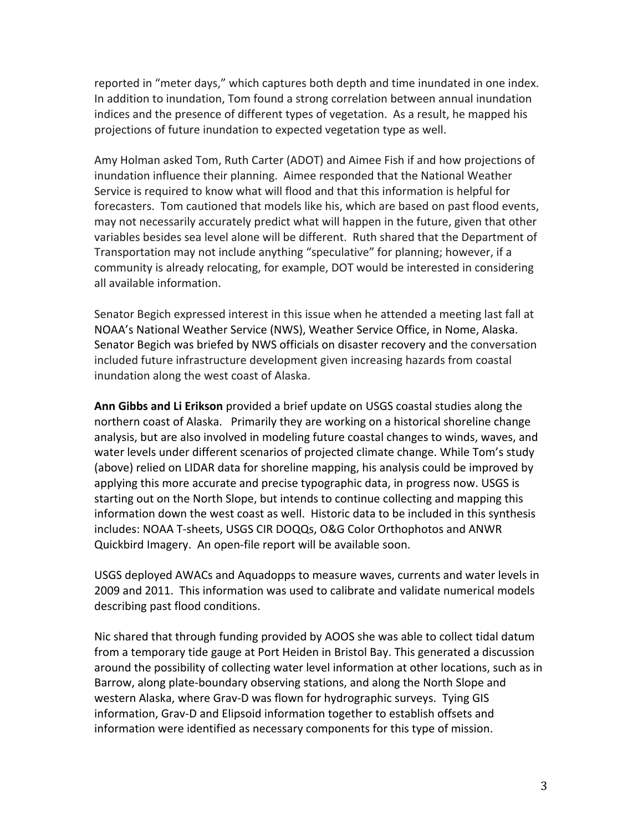reported in "meter days," which captures both depth and time inundated in one index. In addition to inundation, Tom found a strong correlation between annual inundation indices and the presence of different types of vegetation. As a result, he mapped his projections of future inundation to expected vegetation type as well.

Amy Holman asked Tom, Ruth Carter (ADOT) and Aimee Fish if and how projections of inundation influence their planning. Aimee responded that the National Weather Service is required to know what will flood and that this information is helpful for forecasters. Tom cautioned that models like his, which are based on past flood events, may not necessarily accurately predict what will happen in the future, given that other variables besides sea level alone will be different. Ruth shared that the Department of Transportation may not include anything "speculative" for planning; however, if a community is already relocating, for example, DOT would be interested in considering all available information.

Senator Begich expressed interest in this issue when he attended a meeting last fall at NOAA's National Weather Service (NWS), Weather Service Office, in Nome, Alaska. Senator Begich was briefed by NWS officials on disaster recovery and the conversation included future infrastructure development given increasing hazards from coastal inundation along the west coast of Alaska.

**Ann Gibbs and Li Erikson** provided a brief update on USGS coastal studies along the northern coast of Alaska. Primarily they are working on a historical shoreline change analysis, but are also involved in modeling future coastal changes to winds, waves, and water levels under different scenarios of projected climate change. While Tom's study (above) relied on LIDAR data for shoreline mapping, his analysis could be improved by applying this more accurate and precise typographic data, in progress now. USGS is starting out on the North Slope, but intends to continue collecting and mapping this information down the west coast as well. Historic data to be included in this synthesis includes: NOAA T-sheets, USGS CIR DOQQs, O&G Color Orthophotos and ANWR Quickbird Imagery. An open-file report will be available soon.

USGS deployed AWACs and Aquadopps to measure waves, currents and water levels in 2009 and 2011. This information was used to calibrate and validate numerical models describing past flood conditions.

Nic shared that through funding provided by AOOS she was able to collect tidal datum from a temporary tide gauge at Port Heiden in Bristol Bay. This generated a discussion around the possibility of collecting water level information at other locations, such as in Barrow, along plate-boundary observing stations, and along the North Slope and western Alaska, where Grav-D was flown for hydrographic surveys. Tying GIS information, Grav-D and Elipsoid information together to establish offsets and information were identified as necessary components for this type of mission.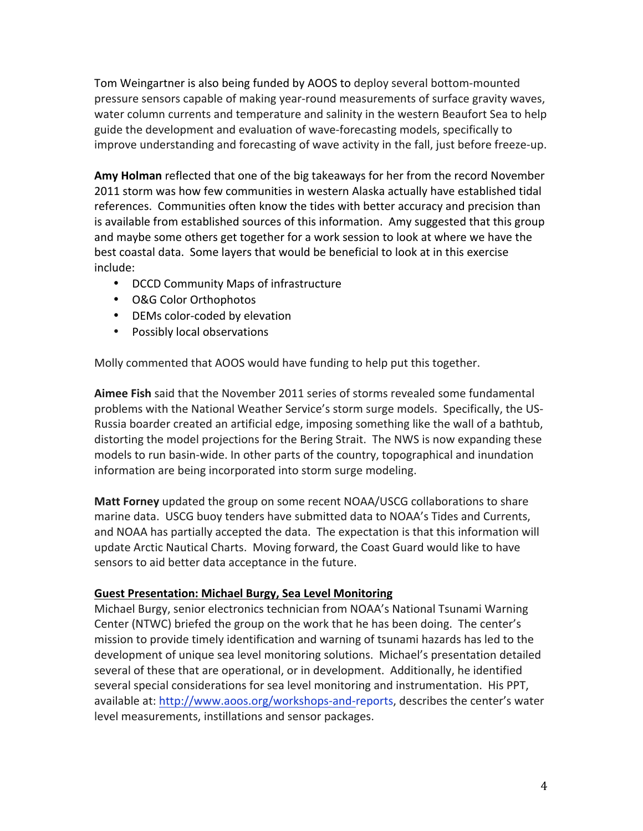Tom Weingartner is also being funded by AOOS to deploy several bottom-mounted pressure sensors capable of making year-round measurements of surface gravity waves, water column currents and temperature and salinity in the western Beaufort Sea to help guide the development and evaluation of wave-forecasting models, specifically to improve understanding and forecasting of wave activity in the fall, just before freeze-up.

Amy Holman reflected that one of the big takeaways for her from the record November 2011 storm was how few communities in western Alaska actually have established tidal references. Communities often know the tides with better accuracy and precision than is available from established sources of this information. Amy suggested that this group and maybe some others get together for a work session to look at where we have the best coastal data. Some layers that would be beneficial to look at in this exercise include: 

- DCCD Community Maps of infrastructure
- O&G Color Orthophotos
- DEMs color-coded by elevation
- Possibly local observations

Molly commented that AOOS would have funding to help put this together.

Aimee Fish said that the November 2011 series of storms revealed some fundamental problems with the National Weather Service's storm surge models. Specifically, the US-Russia boarder created an artificial edge, imposing something like the wall of a bathtub, distorting the model projections for the Bering Strait. The NWS is now expanding these models to run basin-wide. In other parts of the country, topographical and inundation information are being incorporated into storm surge modeling.

Matt Forney updated the group on some recent NOAA/USCG collaborations to share marine data. USCG buoy tenders have submitted data to NOAA's Tides and Currents, and NOAA has partially accepted the data. The expectation is that this information will update Arctic Nautical Charts. Moving forward, the Coast Guard would like to have sensors to aid better data acceptance in the future.

#### **Guest Presentation: Michael Burgy, Sea Level Monitoring**

Michael Burgy, senior electronics technician from NOAA's National Tsunami Warning Center (NTWC) briefed the group on the work that he has been doing. The center's mission to provide timely identification and warning of tsunami hazards has led to the development of unique sea level monitoring solutions. Michael's presentation detailed several of these that are operational, or in development. Additionally, he identified several special considerations for sea level monitoring and instrumentation. His PPT, available at: http://www.aoos.org/workshops-and-reports, describes the center's water level measurements, instillations and sensor packages.